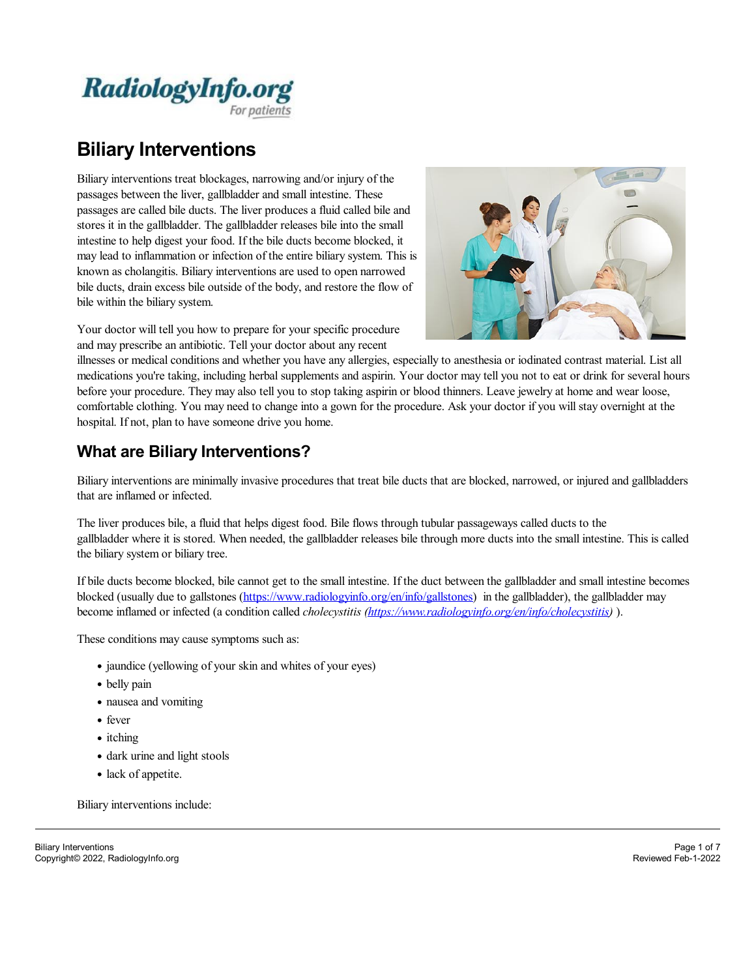

# **Biliary Interventions**

Biliary interventions treat blockages, narrowing and/or injury of the passages between the liver, gallbladder and small intestine. These passages are called bile ducts. The liver produces a fluid called bile and stores it in the gallbladder. The gallbladder releases bile into the small intestine to help digest your food. If the bile ducts become blocked, it may lead to inflammation or infection of the entire biliary system. This is known as cholangitis. Biliary interventions are used to open narrowed bile ducts, drain excess bile outside of the body, and restore the flow of bile within the biliary system.



Your doctor will tell you how to prepare for your specific procedure and may prescribe an antibiotic. Tell your doctor about any recent

illnesses or medical conditions and whether you have any allergies, especially to anesthesia or iodinated contrast material. List all medications you're taking, including herbal supplements and aspirin. Your doctor may tell you not to eat or drink for several hours before your procedure. They may also tell you to stop taking aspirin or blood thinners. Leave jewelry at home and wear loose, comfortable clothing. You may need to change into a gown for the procedure. Ask your doctor if you will stay overnight at the hospital. If not, plan to have someone drive you home.

### **What are Biliary Interventions?**

Biliary interventions are minimally invasive procedures that treat bile ducts that are blocked, narrowed, or injured and gallbladders that are inflamed or infected.

The liver produces bile, a fluid that helps digest food. Bile flows through tubular passageways called ducts to the gallbladder where it is stored. When needed, the gallbladder releases bile through more ducts into the small intestine. This is called the biliary system or biliary tree.

If bile ducts become blocked, bile cannot get to the small intestine. If the duct between the gallbladder and small intestine becomes blocked (usually due to gallstones [\(https://www.radiologyinfo.org/en/info/gallstones](https://www.radiologyinfo.org/en/info/gallstones)) in the gallbladder), the gallbladder may become inflamed or infected (a condition called *cholecystitis [\(https://www.radiologyinfo.org/en/info/cholecystitis](https://www.radiologyinfo.org/en/info/cholecystitis))* ).

These conditions may cause symptoms such as:

- jaundice (yellowing of your skin and whites of your eyes)
- belly pain
- nausea and vomiting
- fever
- itching
- dark urine and light stools
- lack of appetite.

Biliary interventions include: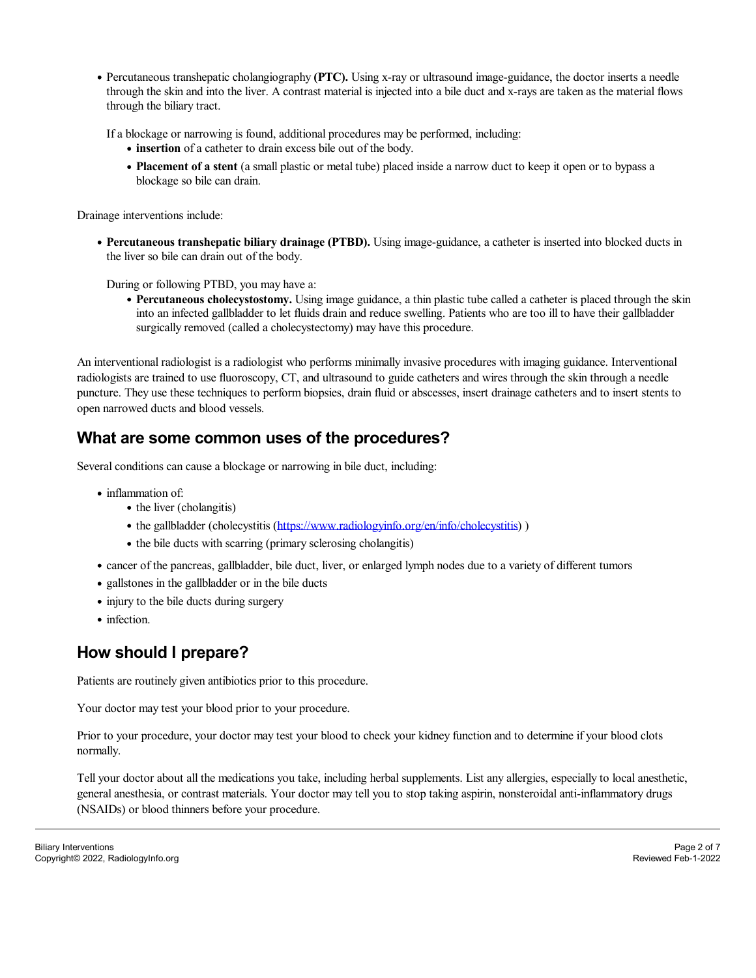Percutaneous transhepatic cholangiography **(PTC).** Using x-ray or ultrasound image-guidance, the doctor inserts a needle through the skin and into the liver. A contrast material is injected into a bile duct and x-rays are taken as the material flows through the biliary tract.

Ifa blockage or narrowing is found, additional procedures may be performed, including:

- **insertion** of a catheter to drain excess bile out of the body.
- **Placement of a stent** (a small plastic or metal tube) placed inside a narrow duct to keep it open or to bypass a blockage so bile can drain.

Drainage interventions include:

**Percutaneous transhepatic biliary drainage (PTBD).** Using image-guidance, a catheter is inserted into blocked ducts in the liver so bile can drain out of the body.

During or following PTBD, you may have a:

**Percutaneous cholecystostomy.** Using image guidance, a thin plastic tube called a catheter is placed through the skin into an infected gallbladder to let fluids drain and reduce swelling. Patients who are too illto have their gallbladder surgically removed (called a cholecystectomy) may have this procedure.

An interventional radiologist is a radiologist who performs minimally invasive procedures with imaging guidance. Interventional radiologists are trained to use fluoroscopy, CT, and ultrasound to guide catheters and wires through the skin through a needle puncture. They use these techniques to perform biopsies, drain fluid or abscesses, insert drainage catheters and to insert stents to open narrowed ducts and blood vessels.

### **What are some common uses of the procedures?**

Several conditions can cause a blockage or narrowing in bile duct, including:

- inflammation of:
	- the liver (cholangitis)
	- the gallbladder (cholecystitis [\(https://www.radiologyinfo.org/en/info/cholecystitis](https://www.radiologyinfo.org/en/info/cholecystitis)))
	- the bile ducts with scarring (primary sclerosing cholangitis)
- cancer of the pancreas, gallbladder, bile duct, liver, or enlarged lymph nodes due to a variety of different tumors
- gallstones in the gallbladder or in the bile ducts
- injury to the bile ducts during surgery
- infection.

### **How should I prepare?**

Patients are routinely given antibiotics prior to this procedure.

Your doctor may test your blood prior to your procedure.

Prior to your procedure, your doctor may test your blood to check your kidney function and to determine if your blood clots normally.

Tell your doctor about all the medications you take, including herbal supplements. List any allergies, especially to localanesthetic, generalanesthesia, or contrast materials. Your doctor may tell you to stop taking aspirin, nonsteroidalanti-inflammatory drugs (NSAIDs) or blood thinners before your procedure.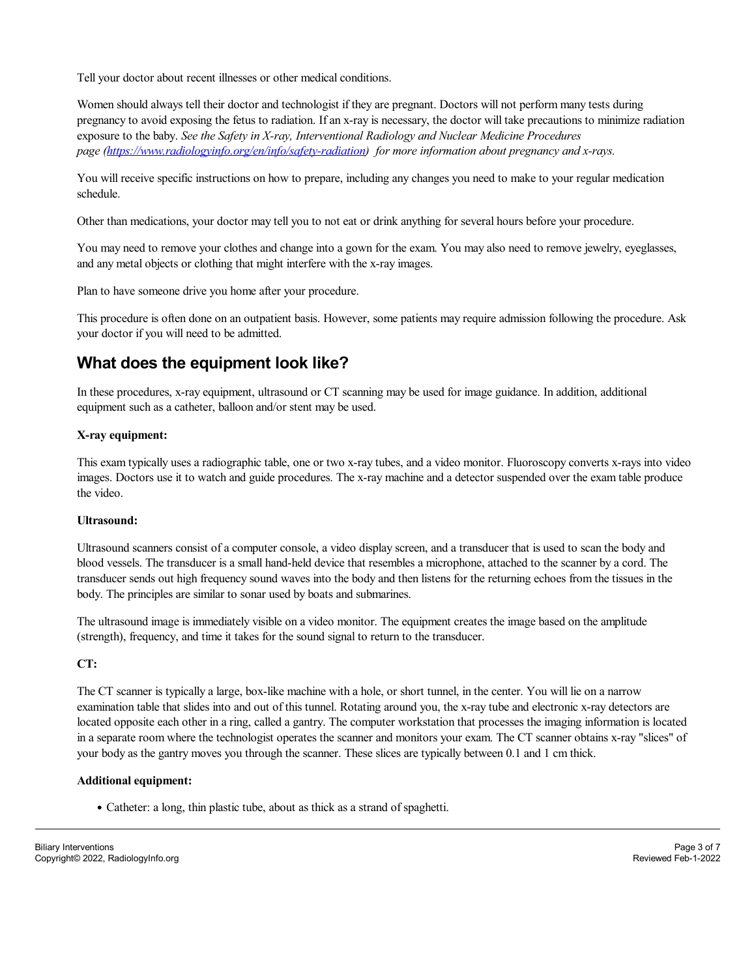Tell your doctor about recent illnesses or other medical conditions.

Women should always tell their doctor and technologist if they are pregnant. Doctors will not perform many tests during pregnancy to avoid exposing the fetus to radiation. Ifan x-ray is necessary, the doctor will take precautions to minimize radiation exposure to the baby. *See the Safety in X-ray, Interventional Radiology and Nuclear Medicine Procedures page [\(https://www.radiologyinfo.org/en/info/safety-radiation](https://www.radiologyinfo.org/en/info/safety-radiation)) for more information about pregnancy and x-rays.*

You will receive specific instructions on how to prepare, including any changes you need to make to your regular medication schedule.

Other than medications, your doctor may tell you to not eat or drink anything for several hours before your procedure.

You may need to remove your clothes and change into a gown for the exam. You may also need to remove jewelry, eyeglasses, and any metal objects or clothing that might interfere with the x-ray images.

Plan to have someone drive you home after your procedure.

This procedure is often done on an outpatient basis. However, some patients may require admission following the procedure. Ask your doctor if you will need to be admitted.

### **What does the equipment look like?**

In these procedures, x-ray equipment, ultrasound or CT scanning may be used for image guidance. In addition, additional equipment such as a catheter, balloon and/or stent may be used.

### **X-ray equipment:**

This exam typically uses a radiographic table, one or two x-ray tubes, and a video monitor. Fluoroscopy converts x-rays into video images. Doctors use it to watch and guide procedures. The x-ray machine and a detector suspended over the exam table produce the video.

#### **Ultrasound:**

Ultrasound scanners consist of a computer console, a video display screen, and a transducer that is used to scan the body and blood vessels. The transducer is a small hand-held device that resembles a microphone, attached to the scanner by a cord. The transducer sends out high frequency sound waves into the body and then listens for the returning echoes from the tissues in the body. The principles are similar to sonar used by boats and submarines.

The ultrasound image is immediately visible on a video monitor. The equipment creates the image based on the amplitude (strength), frequency, and time it takes for the sound signal to return to the transducer.

#### **CT:**

The CT scanner is typically a large, box-like machine with a hole, or short tunnel, in the center. You will lie on a narrow examination table that slides into and out of this tunnel. Rotating around you, the x-ray tube and electronic x-ray detectors are located opposite each other in a ring, called a gantry. The computer workstation that processes the imaging information is located in a separate room where the technologist operates the scanner and monitors your exam. The CT scanner obtains x-ray "slices" of your body as the gantry moves you through the scanner. These slices are typically between 0.1 and 1 cm thick.

#### **Additional equipment:**

Catheter: a long, thin plastic tube, about as thick as a strand of spaghetti.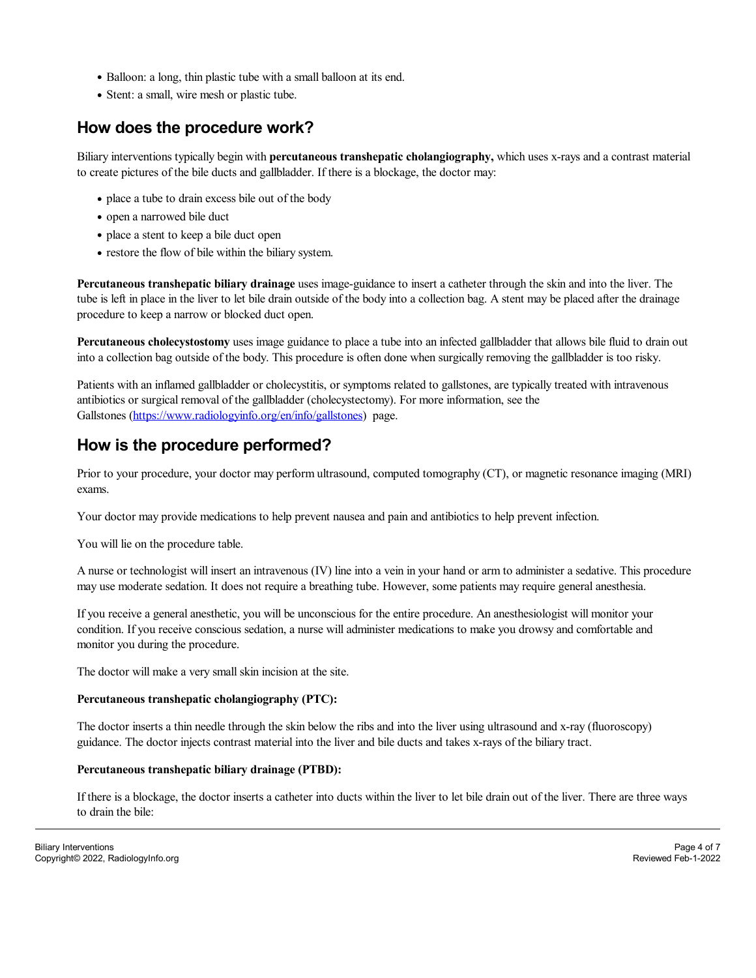- Balloon: a long, thin plastic tube with a small balloon at its end.
- Stent: a small, wire mesh or plastic tube.

## **How does the procedure work?**

Biliary interventions typically begin with **percutaneous transhepatic cholangiography,** which uses x-rays and a contrast material to create pictures of the bile ducts and gallbladder. If there is a blockage, the doctor may:

- place a tube to drain excess bile out of the body
- open a narrowed bile duct
- place a stent to keep a bile duct open
- restore the flow of bile within the biliary system.

**Percutaneous transhepatic biliary drainage** uses image-guidance to insert a catheter through the skin and into the liver. The tube is left in place in the liver to let bile drain outside of the body into a collection bag. A stent may be placed after the drainage procedure to keep a narrow or blocked duct open.

**Percutaneous cholecystostomy** uses image guidance to place a tube into an infected gallbladder that allows bile fluid to drain out into a collection bag outside of the body. This procedure is often done when surgically removing the gallbladder is too risky.

Patients with an inflamed gallbladder or cholecystitis, or symptoms related to gallstones, are typically treated with intravenous antibiotics or surgical removal of the gallbladder (cholecystectomy). For more information, see the Gallstones ([https://www.radiologyinfo.org/en/info/gallstones\)](https://www.radiologyinfo.org/en/info/gallstones) page.

### **How is the procedure performed?**

Prior to your procedure, your doctor may perform ultrasound, computed tomography (CT), or magnetic resonance imaging (MRI) exams.

Your doctor may provide medications to help prevent nausea and pain and antibiotics to help prevent infection.

You will lie on the procedure table.

A nurse or technologist will insert an intravenous (IV) line into a vein in your hand or arm to administer a sedative. This procedure may use moderate sedation. It does not require a breathing tube. However, some patients may require general anesthesia.

If you receive a general anesthetic, you will be unconscious for the entire procedure. An anesthesiologist will monitor your condition. If you receive conscious sedation, a nurse willadminister medications to make you drowsy and comfortable and monitor you during the procedure.

The doctor will make a very small skin incision at the site.

#### **Percutaneous transhepatic cholangiography (PTC):**

The doctor inserts a thin needle through the skin below the ribs and into the liver using ultrasound and x-ray (fluoroscopy) guidance. The doctor injects contrast material into the liver and bile ducts and takes x-rays of the biliary tract.

#### **Percutaneous transhepatic biliary drainage (PTBD):**

If there is a blockage, the doctor inserts a catheter into ducts within the liver to let bile drain out of the liver. There are three ways to drain the bile: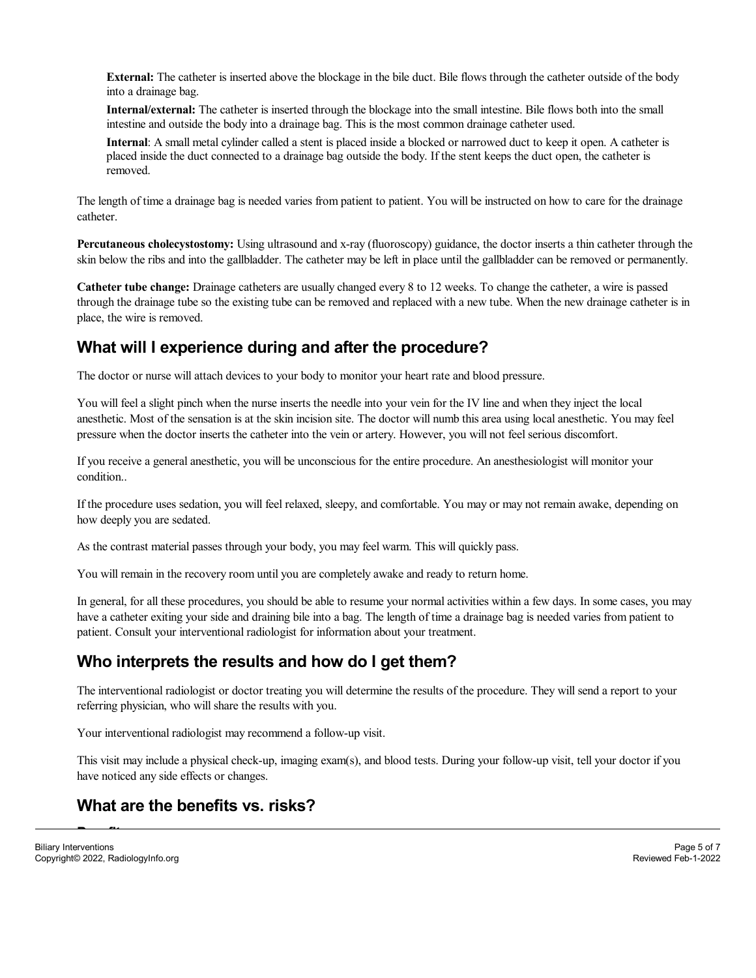**External:** The catheter is inserted above the blockage in the bile duct. Bile flows through the catheter outside of the body into a drainage bag.

**Internal/external:** The catheter is inserted through the blockage into the small intestine. Bile flows both into the small intestine and outside the body into a drainage bag. This is the most common drainage catheter used.

**Internal**: A small metal cylinder called a stent is placed inside a blocked or narrowed duct to keep it open. A catheter is placed inside the duct connected to a drainage bag outside the body. If the stent keeps the duct open, the catheter is removed.

The length of time a drainage bag is needed varies from patient to patient. You will be instructed on how to care for the drainage catheter.

**Percutaneous cholecystostomy:** Using ultrasound and x-ray (fluoroscopy) guidance, the doctor inserts a thin catheter through the skin below the ribs and into the gallbladder. The catheter may be left in place until the gallbladder can be removed or permanently.

**Catheter tube change:** Drainage catheters are usually changed every 8 to 12 weeks. To change the catheter, a wire is passed through the drainage tube so the existing tube can be removed and replaced with a new tube. When the new drainage catheter is in place, the wire is removed.

### **What will I experience during and after the procedure?**

The doctor or nurse willattach devices to your body to monitor your heart rate and blood pressure.

You will feela slight pinch when the nurse inserts the needle into your vein for the IV line and when they inject the local anesthetic. Most of the sensation is at the skin incision site. The doctor will numb this area using localanesthetic. You may feel pressure when the doctor inserts the catheter into the vein or artery. However, you will not feel serious discomfort.

If you receive a general anesthetic, you will be unconscious for the entire procedure. An anesthesiologist will monitor your condition..

If the procedure uses sedation, you will feel relaxed, sleepy, and comfortable. You may or may not remain awake, depending on how deeply you are sedated.

As the contrast material passes through your body, you may feel warm. This will quickly pass.

You will remain in the recovery room until you are completely awake and ready to return home.

In general, for all these procedures, you should be able to resume your normalactivities within a few days. In some cases, you may have a catheter exiting your side and draining bile into a bag. The length of time a drainage bag is needed varies from patient to patient. Consult your interventional radiologist for information about your treatment.

# **Who interprets the results and how do I get them?**

The interventional radiologist or doctor treating you will determine the results of the procedure. They will send a report to your referring physician, who will share the results with you.

Your interventional radiologist may recommend a follow-up visit.

This visit may include a physical check-up, imaging exam(s), and blood tests. During your follow-up visit, tell your doctor if you have noticed any side effects or changes.

### **What are the benefits vs. risks?**

**Benefits**<br>Benefits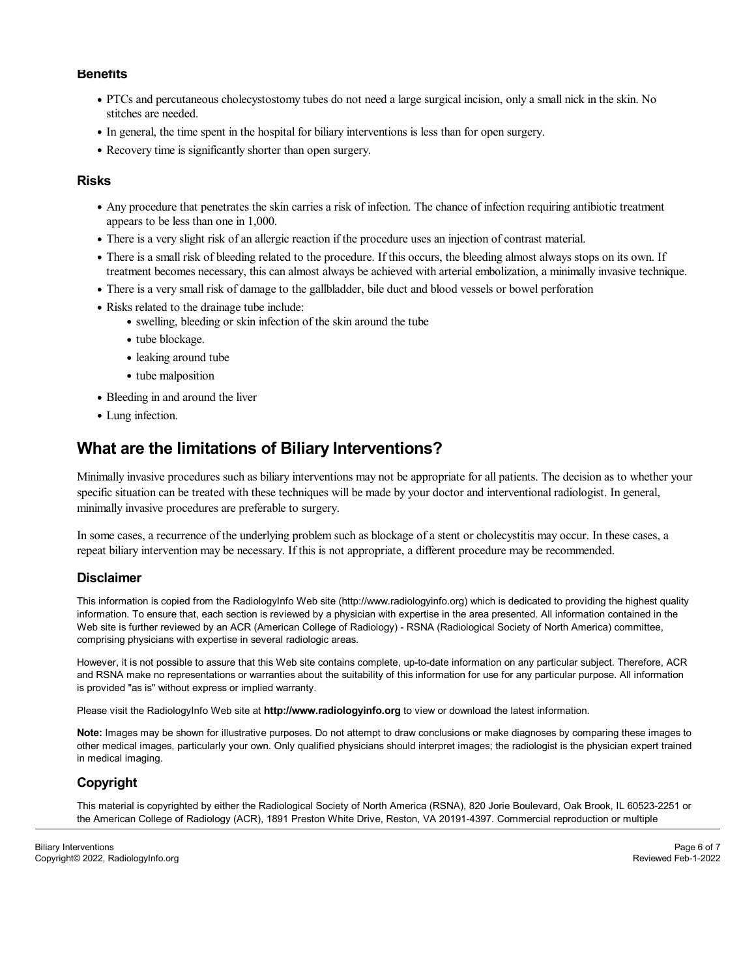#### **Benefits**

- PTCs and percutaneous cholecystostomy tubes do not need a large surgical incision, only a small nick in the skin. No stitches are needed.
- In general, the time spent in the hospital for biliary interventions is less than for open surgery.
- Recovery time is significantly shorter than open surgery.

#### **Risks**

- Any procedure that penetrates the skin carries a risk of infection. The chance of infection requiring antibiotic treatment appears to be less than one in 1,000.
- There is a very slight risk of an allergic reaction if the procedure uses an injection of contrast material.
- There is a small risk of bleeding related to the procedure. If this occurs, the bleeding almost always stops on its own. If treatment becomes necessary, this can almost always be achieved with arterialembolization, a minimally invasive technique.
- There is a very small risk of damage to the gallbladder, bile duct and blood vessels or bowel perforation
- Risks related to the drainage tube include:
	- swelling, bleeding or skin infection of the skin around the tube
	- tube blockage.
	- leaking around tube
	- tube malposition
- Bleeding in and around the liver
- Lung infection.

### **What are the limitations of Biliary Interventions?**

Minimally invasive procedures such as biliary interventions may not be appropriate for all patients. The decision as to whether your specific situation can be treated with these techniques will be made by your doctor and interventional radiologist. In general, minimally invasive procedures are preferable to surgery.

In some cases, a recurrence of the underlying problem such as blockage of a stent or cholecystitis may occur. In these cases, a repeat biliary intervention may be necessary. If this is not appropriate, a different procedure may be recommended.

#### **Disclaimer**

This information is copied from the RadiologyInfo Web site (http://www.radiologyinfo.org) which is dedicated to providing the highest quality information. To ensure that, each section is reviewed by a physician with expertise in the area presented. All information contained in the Web site is further reviewed by an ACR (American College of Radiology) - RSNA (Radiological Society of North America) committee, comprising physicians with expertise in several radiologic areas.

However, it is not possible to assure that this Web site contains complete, up-to-date information on any particular subject. Therefore, ACR and RSNA make no representations or warranties about the suitability of this information for use for any particular purpose. All information is provided "as is" without express or implied warranty.

Please visit the RadiologyInfo Web site at**http://www.radiologyinfo.org** to view or download the latest information.

**Note:** Images may be shown for illustrative purposes. Do not attempt to draw conclusions or make diagnoses by comparing these images to other medical images, particularly your own. Only qualified physicians should interpret images; the radiologist is the physician expert trained in medical imaging.

### **Copyright**

This material is copyrighted by either the Radiological Society of North America (RSNA), 820 Jorie Boulevard, Oak Brook, IL 60523-2251 or the American College of Radiology (ACR), 1891 Preston White Drive, Reston, VA 20191-4397. Commercial reproduction or multiple